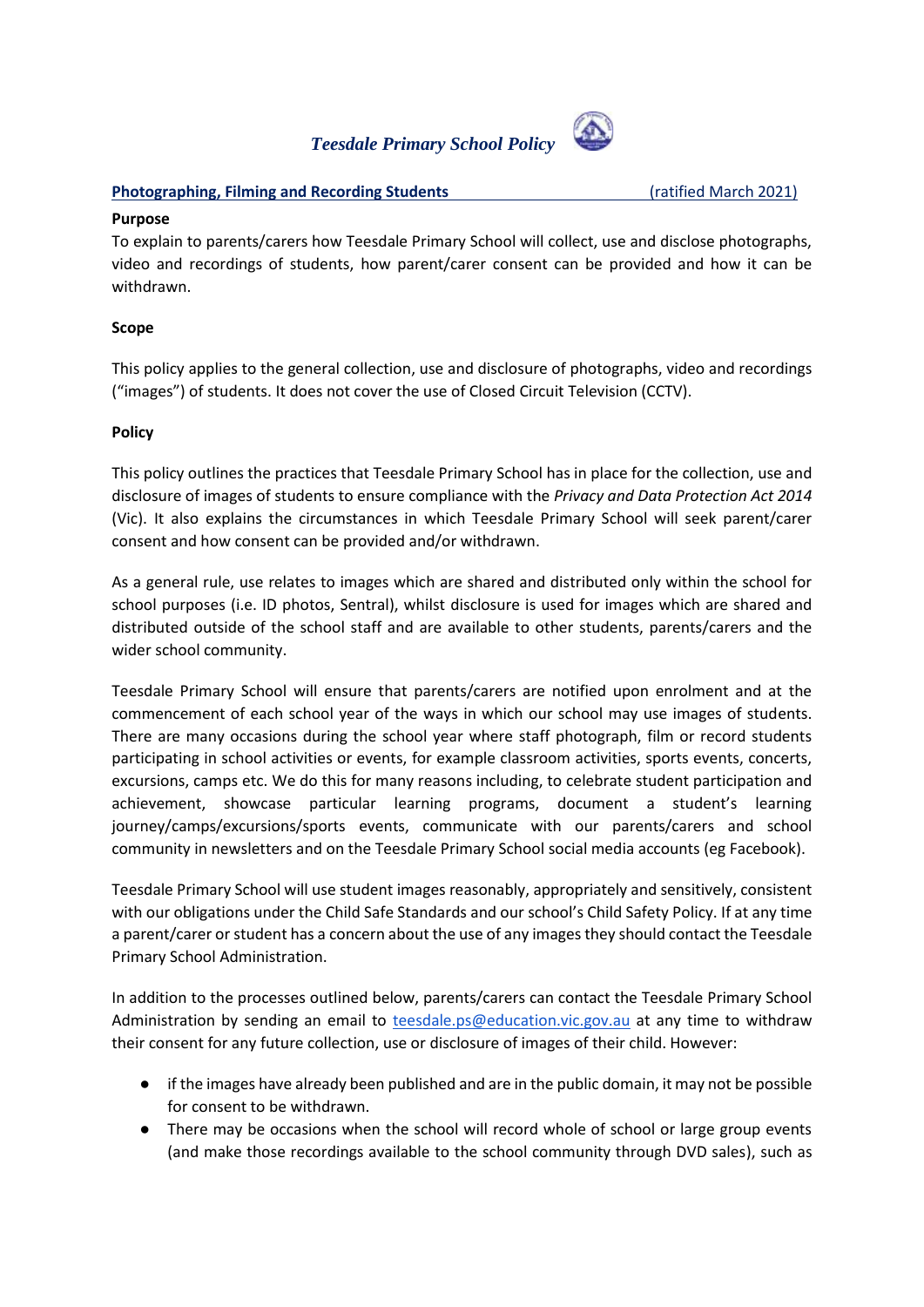# *Teesdale Primary School Policy*



#### **Photographing, Filming and Recording Students** (ratified March 2021)

#### **Purpose**

To explain to parents/carers how Teesdale Primary School will collect, use and disclose photographs, video and recordings of students, how parent/carer consent can be provided and how it can be withdrawn.

### **Scope**

This policy applies to the general collection, use and disclosure of photographs, video and recordings ("images") of students. It does not cover the use of Closed Circuit Television (CCTV).

### **Policy**

This policy outlines the practices that Teesdale Primary School has in place for the collection, use and disclosure of images of students to ensure compliance with the *Privacy and Data Protection Act 2014*  (Vic). It also explains the circumstances in which Teesdale Primary School will seek parent/carer consent and how consent can be provided and/or withdrawn.

As a general rule, use relates to images which are shared and distributed only within the school for school purposes (i.e. ID photos, Sentral), whilst disclosure is used for images which are shared and distributed outside of the school staff and are available to other students, parents/carers and the wider school community.

Teesdale Primary School will ensure that parents/carers are notified upon enrolment and at the commencement of each school year of the ways in which our school may use images of students. There are many occasions during the school year where staff photograph, film or record students participating in school activities or events, for example classroom activities, sports events, concerts, excursions, camps etc. We do this for many reasons including, to celebrate student participation and achievement, showcase particular learning programs, document a student's learning journey/camps/excursions/sports events, communicate with our parents/carers and school community in newsletters and on the Teesdale Primary School social media accounts (eg Facebook).

Teesdale Primary School will use student images reasonably, appropriately and sensitively, consistent with our obligations under the Child Safe Standards and our school's Child Safety Policy. If at any time a parent/carer or student has a concern about the use of any images they should contact the Teesdale Primary School Administration.

In addition to the processes outlined below, parents/carers can contact the Teesdale Primary School Administration by sending an email to [teesdale.ps@education.vic.gov.au](mailto:teesdale.ps@education.vic.gov.au) at any time to withdraw their consent for any future collection, use or disclosure of images of their child. However:

- if the images have already been published and are in the public domain, it may not be possible for consent to be withdrawn.
- There may be occasions when the school will record whole of school or large group events (and make those recordings available to the school community through DVD sales), such as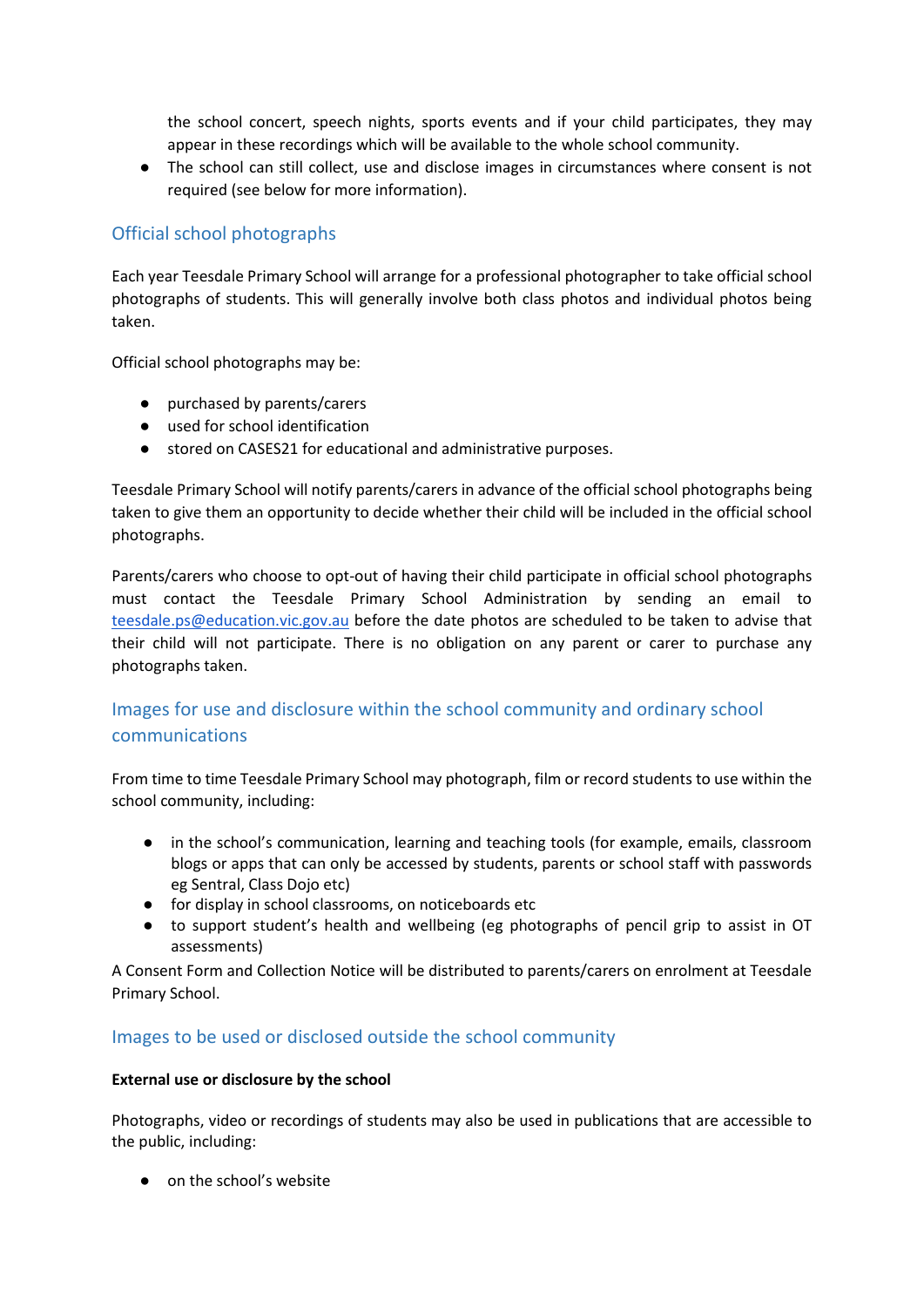the school concert, speech nights, sports events and if your child participates, they may appear in these recordings which will be available to the whole school community.

● The school can still collect, use and disclose images in circumstances where consent is not required (see below for more information).

# Official school photographs

Each year Teesdale Primary School will arrange for a professional photographer to take official school photographs of students. This will generally involve both class photos and individual photos being taken.

Official school photographs may be:

- purchased by parents/carers
- used for school identification
- stored on CASES21 for educational and administrative purposes.

Teesdale Primary School will notify parents/carers in advance of the official school photographs being taken to give them an opportunity to decide whether their child will be included in the official school photographs.

Parents/carers who choose to opt-out of having their child participate in official school photographs must contact the Teesdale Primary School Administration by sending an email to [teesdale.ps@education.vic.gov.au](mailto:teesdale.ps@education.vic.gov.au) before the date photos are scheduled to be taken to advise that their child will not participate. There is no obligation on any parent or carer to purchase any photographs taken.

# Images for use and disclosure within the school community and ordinary school communications

From time to time Teesdale Primary School may photograph, film or record students to use within the school community, including:

- in the school's communication, learning and teaching tools (for example, emails, classroom blogs or apps that can only be accessed by students, parents or school staff with passwords eg Sentral, Class Dojo etc)
- for display in school classrooms, on noticeboards etc
- to support student's health and wellbeing (eg photographs of pencil grip to assist in OT assessments)

A Consent Form and Collection Notice will be distributed to parents/carers on enrolment at Teesdale Primary School.

## Images to be used or disclosed outside the school community

#### **External use or disclosure by the school**

Photographs, video or recordings of students may also be used in publications that are accessible to the public, including:

● on the school's website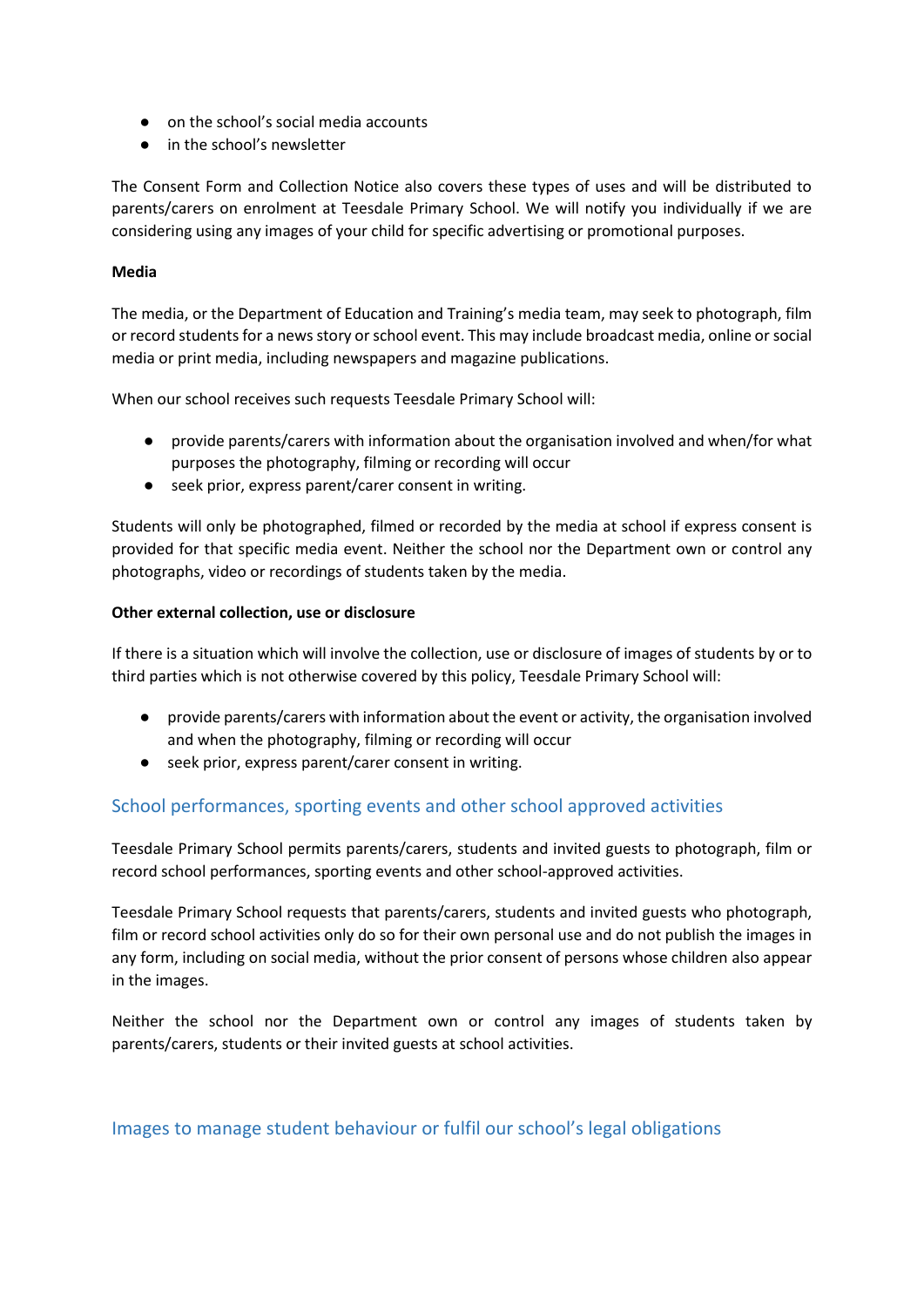- on the school's social media accounts
- in the school's newsletter

The Consent Form and Collection Notice also covers these types of uses and will be distributed to parents/carers on enrolment at Teesdale Primary School. We will notify you individually if we are considering using any images of your child for specific advertising or promotional purposes.

#### **Media**

The media, or the Department of Education and Training's media team, may seek to photograph, film or record students for a news story or school event. This may include broadcast media, online or social media or print media, including newspapers and magazine publications.

When our school receives such requests Teesdale Primary School will:

- provide parents/carers with information about the organisation involved and when/for what purposes the photography, filming or recording will occur
- seek prior, express parent/carer consent in writing.

Students will only be photographed, filmed or recorded by the media at school if express consent is provided for that specific media event. Neither the school nor the Department own or control any photographs, video or recordings of students taken by the media.

#### **Other external collection, use or disclosure**

If there is a situation which will involve the collection, use or disclosure of images of students by or to third parties which is not otherwise covered by this policy, Teesdale Primary School will:

- provide parents/carers with information about the event or activity, the organisation involved and when the photography, filming or recording will occur
- seek prior, express parent/carer consent in writing.

## School performances, sporting events and other school approved activities

Teesdale Primary School permits parents/carers, students and invited guests to photograph, film or record school performances, sporting events and other school-approved activities.

Teesdale Primary School requests that parents/carers, students and invited guests who photograph, film or record school activities only do so for their own personal use and do not publish the images in any form, including on social media, without the prior consent of persons whose children also appear in the images.

Neither the school nor the Department own or control any images of students taken by parents/carers, students or their invited guests at school activities.

### Images to manage student behaviour or fulfil our school's legal obligations